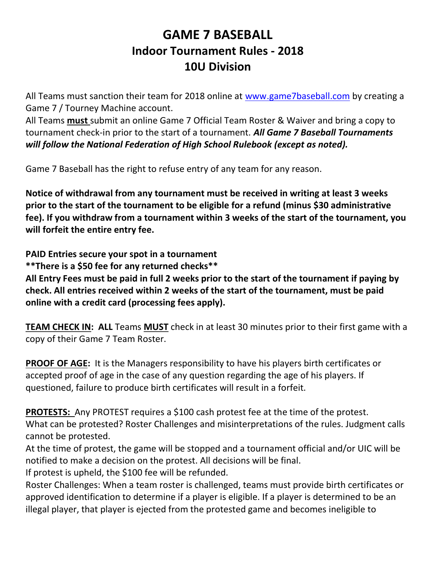# GAME 7 BASEBALL Indoor Tournament Rules - 2018 10U Division

All Teams must sanction their team for 2018 online at www.game7baseball.com by creating a Game 7 / Tourney Machine account.

All Teams must submit an online Game 7 Official Team Roster & Waiver and bring a copy to tournament check-in prior to the start of a tournament. All Game 7 Baseball Tournaments will follow the National Federation of High School Rulebook (except as noted).

Game 7 Baseball has the right to refuse entry of any team for any reason.

Notice of withdrawal from any tournament must be received in writing at least 3 weeks prior to the start of the tournament to be eligible for a refund (minus \$30 administrative fee). If you withdraw from a tournament within 3 weeks of the start of the tournament, you will forfeit the entire entry fee.

PAID Entries secure your spot in a tournament \*\*There is a \$50 fee for any returned checks\*\*

All Entry Fees must be paid in full 2 weeks prior to the start of the tournament if paying by check. All entries received within 2 weeks of the start of the tournament, must be paid online with a credit card (processing fees apply).

**TEAM CHECK IN: ALL Teams MUST** check in at least 30 minutes prior to their first game with a copy of their Game 7 Team Roster.

**PROOF OF AGE:** It is the Managers responsibility to have his players birth certificates or accepted proof of age in the case of any question regarding the age of his players. If questioned, failure to produce birth certificates will result in a forfeit.

**PROTESTS:** Any PROTEST requires a \$100 cash protest fee at the time of the protest. What can be protested? Roster Challenges and misinterpretations of the rules. Judgment calls cannot be protested.

At the time of protest, the game will be stopped and a tournament official and/or UIC will be notified to make a decision on the protest. All decisions will be final.

If protest is upheld, the \$100 fee will be refunded.

Roster Challenges: When a team roster is challenged, teams must provide birth certificates or approved identification to determine if a player is eligible. If a player is determined to be an illegal player, that player is ejected from the protested game and becomes ineligible to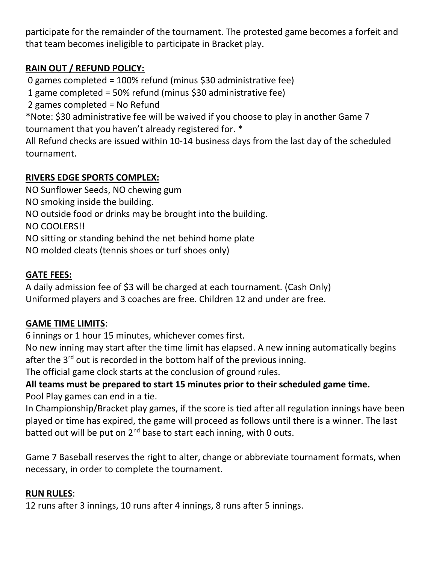participate for the remainder of the tournament. The protested game becomes a forfeit and that team becomes ineligible to participate in Bracket play.

## RAIN OUT / REFUND POLICY:

0 games completed = 100% refund (minus \$30 administrative fee)

1 game completed = 50% refund (minus \$30 administrative fee)

2 games completed = No Refund

\*Note: \$30 administrative fee will be waived if you choose to play in another Game 7 tournament that you haven't already registered for. \*

All Refund checks are issued within 10-14 business days from the last day of the scheduled tournament.

## RIVERS EDGE SPORTS COMPLEX:

NO Sunflower Seeds, NO chewing gum

NO smoking inside the building.

NO outside food or drinks may be brought into the building.

NO COOLERS!!

NO sitting or standing behind the net behind home plate

NO molded cleats (tennis shoes or turf shoes only)

#### GATE FEES:

A daily admission fee of \$3 will be charged at each tournament. (Cash Only) Uniformed players and 3 coaches are free. Children 12 and under are free.

## GAME TIME LIMITS:

6 innings or 1 hour 15 minutes, whichever comes first.

No new inning may start after the time limit has elapsed. A new inning automatically begins after the  $3<sup>rd</sup>$  out is recorded in the bottom half of the previous inning.

The official game clock starts at the conclusion of ground rules.

## All teams must be prepared to start 15 minutes prior to their scheduled game time. Pool Play games can end in a tie.

In Championship/Bracket play games, if the score is tied after all regulation innings have been played or time has expired, the game will proceed as follows until there is a winner. The last batted out will be put on  $2^{nd}$  base to start each inning, with 0 outs.

Game 7 Baseball reserves the right to alter, change or abbreviate tournament formats, when necessary, in order to complete the tournament.

#### RUN RULES:

12 runs after 3 innings, 10 runs after 4 innings, 8 runs after 5 innings.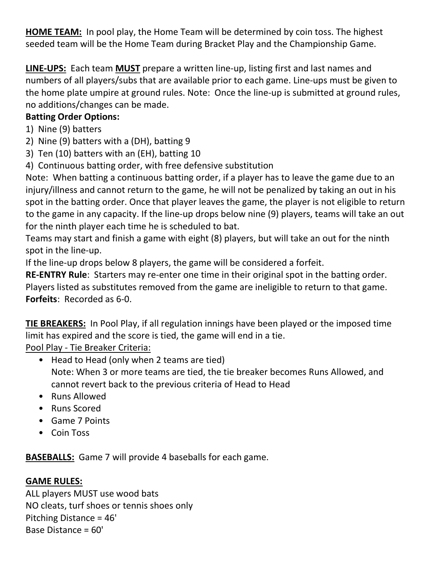HOME TEAM: In pool play, the Home Team will be determined by coin toss. The highest seeded team will be the Home Team during Bracket Play and the Championship Game.

LINE-UPS: Each team MUST prepare a written line-up, listing first and last names and numbers of all players/subs that are available prior to each game. Line-ups must be given to the home plate umpire at ground rules. Note: Once the line-up is submitted at ground rules, no additions/changes can be made.

## Batting Order Options:

- 1) Nine (9) batters
- 2) Nine (9) batters with a (DH), batting 9
- 3) Ten (10) batters with an (EH), batting 10
- 4) Continuous batting order, with free defensive substitution

Note: When batting a continuous batting order, if a player has to leave the game due to an injury/illness and cannot return to the game, he will not be penalized by taking an out in his spot in the batting order. Once that player leaves the game, the player is not eligible to return to the game in any capacity. If the line-up drops below nine (9) players, teams will take an out for the ninth player each time he is scheduled to bat.

Teams may start and finish a game with eight (8) players, but will take an out for the ninth spot in the line-up.

If the line-up drops below 8 players, the game will be considered a forfeit.

RE-ENTRY Rule: Starters may re-enter one time in their original spot in the batting order. Players listed as substitutes removed from the game are ineligible to return to that game. Forfeits: Recorded as 6-0.

**TIE BREAKERS:** In Pool Play, if all regulation innings have been played or the imposed time limit has expired and the score is tied, the game will end in a tie.

Pool Play - Tie Breaker Criteria:

- Head to Head (only when 2 teams are tied) Note: When 3 or more teams are tied, the tie breaker becomes Runs Allowed, and cannot revert back to the previous criteria of Head to Head
- Runs Allowed
- Runs Scored
- Game 7 Points
- Coin Toss

BASEBALLS: Game 7 will provide 4 baseballs for each game.

## GAME RULES:

ALL players MUST use wood bats NO cleats, turf shoes or tennis shoes only Pitching Distance = 46' Base Distance = 60'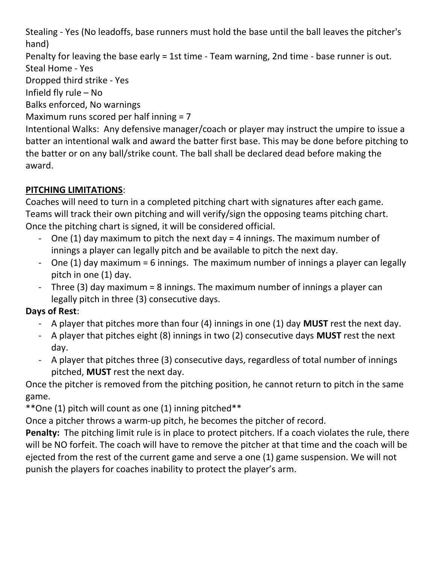Stealing - Yes (No leadoffs, base runners must hold the base until the ball leaves the pitcher's hand)

Penalty for leaving the base early = 1st time - Team warning, 2nd time - base runner is out. Steal Home - Yes

Dropped third strike - Yes

Infield fly rule – No

Balks enforced, No warnings

Maximum runs scored per half inning = 7

Intentional Walks: Any defensive manager/coach or player may instruct the umpire to issue a batter an intentional walk and award the batter first base. This may be done before pitching to the batter or on any ball/strike count. The ball shall be declared dead before making the award.

# PITCHING LIMITATIONS:

Coaches will need to turn in a completed pitching chart with signatures after each game. Teams will track their own pitching and will verify/sign the opposing teams pitching chart. Once the pitching chart is signed, it will be considered official.

- One (1) day maximum to pitch the next day  $=$  4 innings. The maximum number of innings a player can legally pitch and be available to pitch the next day.
- One (1) day maximum = 6 innings. The maximum number of innings a player can legally pitch in one (1) day.
- Three (3) day maximum = 8 innings. The maximum number of innings a player can legally pitch in three (3) consecutive days.

## Days of Rest:

- A player that pitches more than four (4) innings in one (1) day **MUST** rest the next day.
- A player that pitches eight (8) innings in two (2) consecutive days MUST rest the next day.
- A player that pitches three (3) consecutive days, regardless of total number of innings pitched, MUST rest the next day.

Once the pitcher is removed from the pitching position, he cannot return to pitch in the same game.

\*\*One (1) pitch will count as one (1) inning pitched\*\*

Once a pitcher throws a warm-up pitch, he becomes the pitcher of record.

Penalty: The pitching limit rule is in place to protect pitchers. If a coach violates the rule, there will be NO forfeit. The coach will have to remove the pitcher at that time and the coach will be ejected from the rest of the current game and serve a one (1) game suspension. We will not punish the players for coaches inability to protect the player's arm.